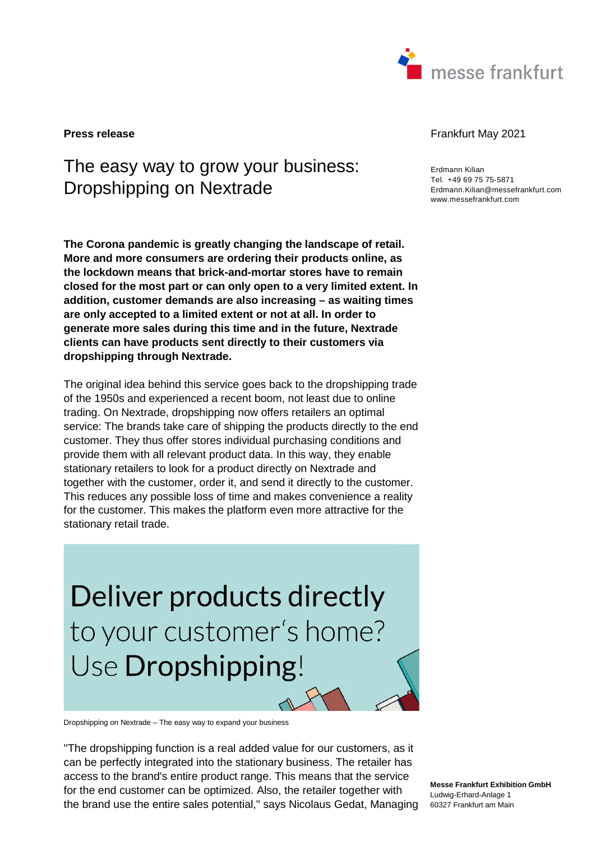

# The easy way to grow your business: Dropshipping on Nextrade

**The Corona pandemic is greatly changing the landscape of retail. More and more consumers are ordering their products online, as the lockdown means that brick-and-mortar stores have to remain closed for the most part or can only open to a very limited extent. In addition, customer demands are also increasing – as waiting times are only accepted to a limited extent or not at all. In order to generate more sales during this time and in the future, Nextrade clients can have products sent directly to their customers via dropshipping through Nextrade.**

The original idea behind this service goes back to the dropshipping trade of the 1950s and experienced a recent boom, not least due to online trading. On Nextrade, dropshipping now offers retailers an optimal service: The brands take care of shipping the products directly to the end customer. They thus offer stores individual purchasing conditions and provide them with all relevant product data. In this way, they enable stationary retailers to look for a product directly on Nextrade and together with the customer, order it, and send it directly to the customer. This reduces any possible loss of time and makes convenience a reality for the customer. This makes the platform even more attractive for the stationary retail trade.

Deliver products directly to your customer's home? Use Dropshipping!

Dropshipping on Nextrade – The easy way to expand your business

"The dropshipping function is a real added value for our customers, as it can be perfectly integrated into the stationary business. The retailer has access to the brand's entire product range. This means that the service for the end customer can be optimized. Also, the retailer together with the brand use the entire sales potential," says Nicolaus Gedat, Managing

#### **Press release** Frankfurt May 2021

Erdmann Kilian Tel. +49 69 75 75-5871 Erdmann.Kilian@messefrankfurt.com www.messefrankfurt.com

**Messe Frankfurt Exhibition GmbH**  Ludwig-Erhard-Anlage 1 60327 Frankfurt am Main